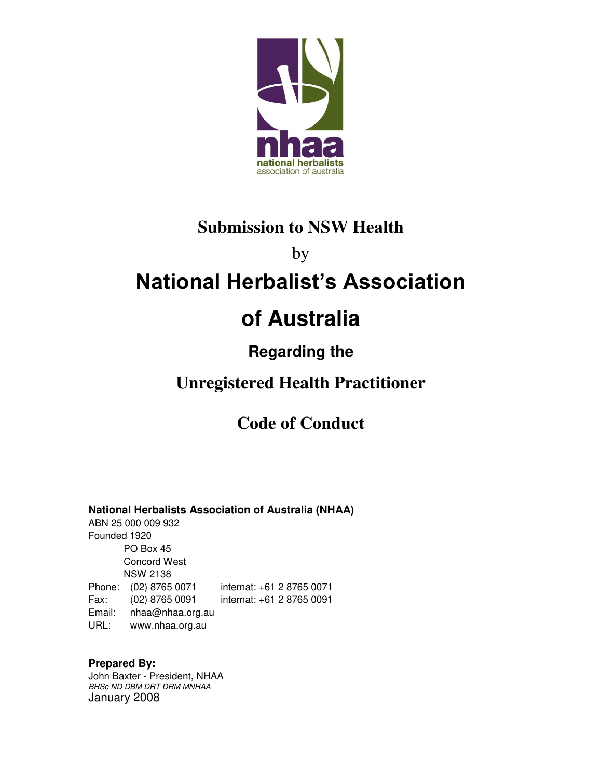

### **Submission to NSW Health**

by

# **National Herbalist's Association**

# **of Australia**

### **Regarding the**

## **Unregistered Health Practitioner**

## **Code of Conduct**

**National Herbalists Association of Australia (NHAA)** 

ABN 25 000 009 932 Founded 1920 PO Box 45 Concord West NSW 2138 Phone: (02) 8765 0071 internat: +61 2 8765 0071 Fax: (02) 8765 0091 internat: +61 2 8765 0091 Email: nhaa@nhaa.org.au URL: www.nhaa.org.au

**Prepared By:**  John Baxter - President, NHAA *BHSc ND DBM DRT DRM MNHAA*  January 2008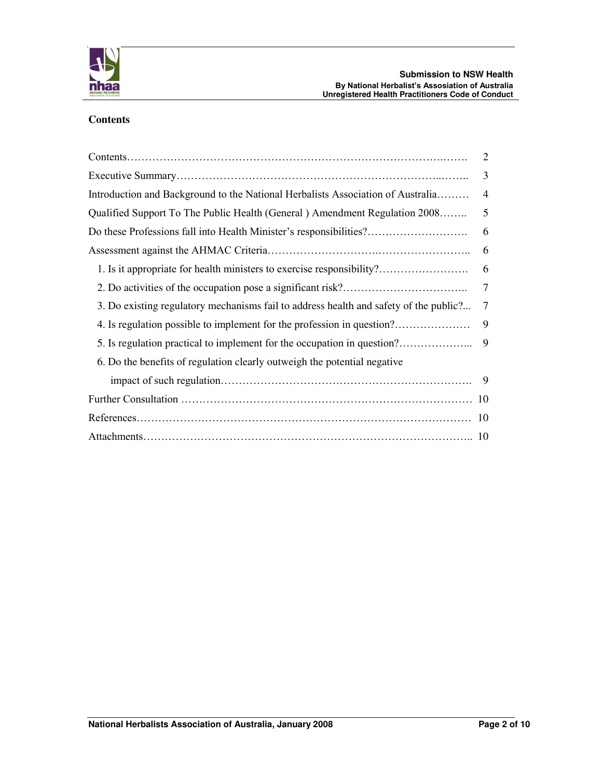

#### **Contents**

|                                                                                       | $\overline{2}$ |
|---------------------------------------------------------------------------------------|----------------|
|                                                                                       | 3              |
| Introduction and Background to the National Herbalists Association of Australia       | $\overline{4}$ |
| Qualified Support To The Public Health (General) Amendment Regulation 2008            | 5              |
| Do these Professions fall into Health Minister's responsibilities?                    | 6              |
|                                                                                       | 6              |
| 1. Is it appropriate for health ministers to exercise responsibility?                 | 6              |
|                                                                                       | $\overline{7}$ |
| 3. Do existing regulatory mechanisms fail to address health and safety of the public? | 7              |
|                                                                                       | 9              |
| 5. Is regulation practical to implement for the occupation in question?               | 9              |
| 6. Do the benefits of regulation clearly outweigh the potential negative              |                |
|                                                                                       | 9              |
|                                                                                       |                |
|                                                                                       |                |
|                                                                                       |                |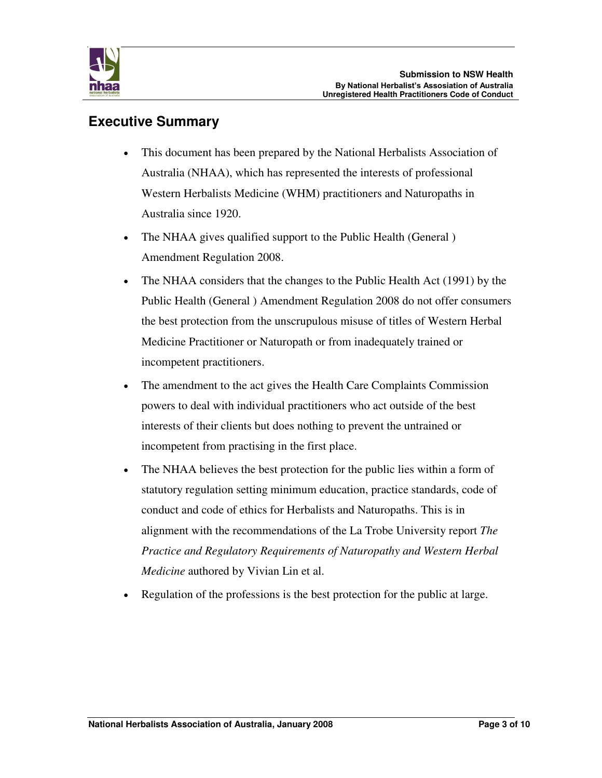

### **Executive Summary**

- This document has been prepared by the National Herbalists Association of Australia (NHAA), which has represented the interests of professional Western Herbalists Medicine (WHM) practitioners and Naturopaths in Australia since 1920.
- The NHAA gives qualified support to the Public Health (General) Amendment Regulation 2008.
- The NHAA considers that the changes to the Public Health Act (1991) by the Public Health (General ) Amendment Regulation 2008 do not offer consumers the best protection from the unscrupulous misuse of titles of Western Herbal Medicine Practitioner or Naturopath or from inadequately trained or incompetent practitioners.
- The amendment to the act gives the Health Care Complaints Commission powers to deal with individual practitioners who act outside of the best interests of their clients but does nothing to prevent the untrained or incompetent from practising in the first place.
- The NHAA believes the best protection for the public lies within a form of statutory regulation setting minimum education, practice standards, code of conduct and code of ethics for Herbalists and Naturopaths. This is in alignment with the recommendations of the La Trobe University report *The Practice and Regulatory Requirements of Naturopathy and Western Herbal Medicine* authored by Vivian Lin et al.
- Regulation of the professions is the best protection for the public at large.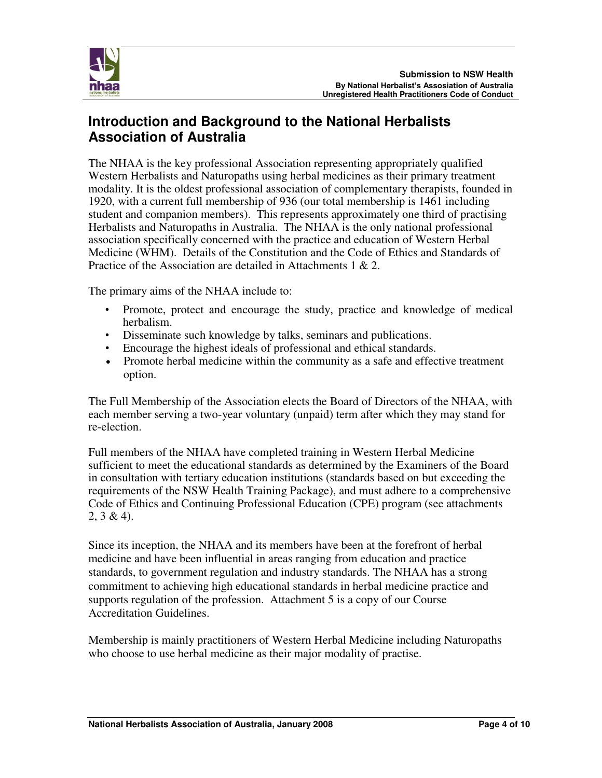

### **Introduction and Background to the National Herbalists Association of Australia**

The NHAA is the key professional Association representing appropriately qualified Western Herbalists and Naturopaths using herbal medicines as their primary treatment modality. It is the oldest professional association of complementary therapists, founded in 1920, with a current full membership of 936 (our total membership is 1461 including student and companion members). This represents approximately one third of practising Herbalists and Naturopaths in Australia. The NHAA is the only national professional association specifically concerned with the practice and education of Western Herbal Medicine (WHM). Details of the Constitution and the Code of Ethics and Standards of Practice of the Association are detailed in Attachments 1 & 2.

The primary aims of the NHAA include to:

- Promote, protect and encourage the study, practice and knowledge of medical herbalism.
- Disseminate such knowledge by talks, seminars and publications.
- Encourage the highest ideals of professional and ethical standards.
- Promote herbal medicine within the community as a safe and effective treatment option.

The Full Membership of the Association elects the Board of Directors of the NHAA, with each member serving a two-year voluntary (unpaid) term after which they may stand for re-election.

Full members of the NHAA have completed training in Western Herbal Medicine sufficient to meet the educational standards as determined by the Examiners of the Board in consultation with tertiary education institutions (standards based on but exceeding the requirements of the NSW Health Training Package), and must adhere to a comprehensive Code of Ethics and Continuing Professional Education (CPE) program (see attachments  $2, 3 \& 4$ ).

Since its inception, the NHAA and its members have been at the forefront of herbal medicine and have been influential in areas ranging from education and practice standards, to government regulation and industry standards. The NHAA has a strong commitment to achieving high educational standards in herbal medicine practice and supports regulation of the profession. Attachment 5 is a copy of our Course Accreditation Guidelines.

Membership is mainly practitioners of Western Herbal Medicine including Naturopaths who choose to use herbal medicine as their major modality of practise.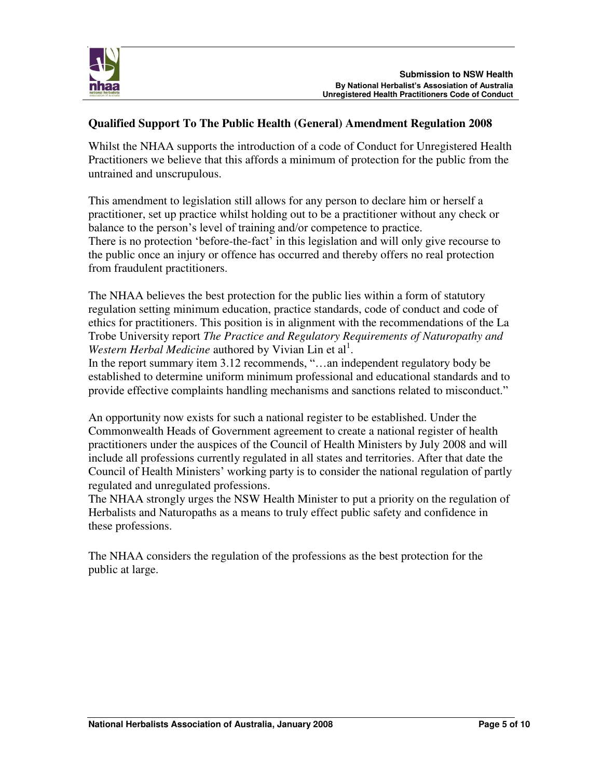

#### **Qualified Support To The Public Health (General) Amendment Regulation 2008**

Whilst the NHAA supports the introduction of a code of Conduct for Unregistered Health Practitioners we believe that this affords a minimum of protection for the public from the untrained and unscrupulous.

This amendment to legislation still allows for any person to declare him or herself a practitioner, set up practice whilst holding out to be a practitioner without any check or balance to the person's level of training and/or competence to practice. There is no protection 'before-the-fact' in this legislation and will only give recourse to the public once an injury or offence has occurred and thereby offers no real protection from fraudulent practitioners.

The NHAA believes the best protection for the public lies within a form of statutory regulation setting minimum education, practice standards, code of conduct and code of ethics for practitioners. This position is in alignment with the recommendations of the La Trobe University report *The Practice and Regulatory Requirements of Naturopathy and*  Western Herbal Medicine authored by Vivian Lin et al<sup>1</sup>.

In the report summary item 3.12 recommends, "...an independent regulatory body be established to determine uniform minimum professional and educational standards and to provide effective complaints handling mechanisms and sanctions related to misconduct."

An opportunity now exists for such a national register to be established. Under the Commonwealth Heads of Government agreement to create a national register of health practitioners under the auspices of the Council of Health Ministers by July 2008 and will include all professions currently regulated in all states and territories. After that date the Council of Health Ministers' working party is to consider the national regulation of partly regulated and unregulated professions.

The NHAA strongly urges the NSW Health Minister to put a priority on the regulation of Herbalists and Naturopaths as a means to truly effect public safety and confidence in these professions.

The NHAA considers the regulation of the professions as the best protection for the public at large.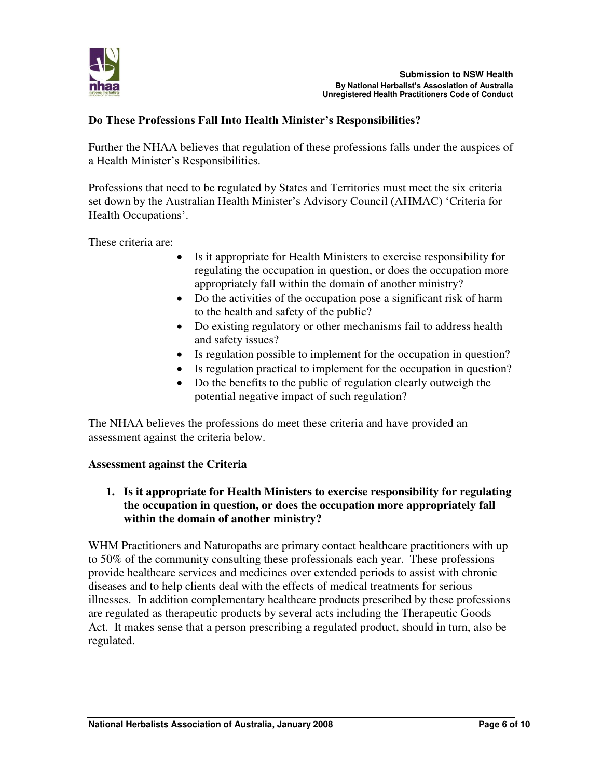

#### **Do These Professions Fall Into Health Minister's Responsibilities?**

Further the NHAA believes that regulation of these professions falls under the auspices of a Health Minister's Responsibilities.

Professions that need to be regulated by States and Territories must meet the six criteria set down by the Australian Health Minister's Advisory Council (AHMAC) 'Criteria for Health Occupations'.

These criteria are:

- Is it appropriate for Health Ministers to exercise responsibility for regulating the occupation in question, or does the occupation more appropriately fall within the domain of another ministry?
- Do the activities of the occupation pose a significant risk of harm to the health and safety of the public?
- Do existing regulatory or other mechanisms fail to address health and safety issues?
- Is regulation possible to implement for the occupation in question?
- Is regulation practical to implement for the occupation in question?
- Do the benefits to the public of regulation clearly outweigh the potential negative impact of such regulation?

The NHAA believes the professions do meet these criteria and have provided an assessment against the criteria below.

#### **Assessment against the Criteria**

#### **1. Is it appropriate for Health Ministers to exercise responsibility for regulating the occupation in question, or does the occupation more appropriately fall within the domain of another ministry?**

WHM Practitioners and Naturopaths are primary contact healthcare practitioners with up to 50% of the community consulting these professionals each year. These professions provide healthcare services and medicines over extended periods to assist with chronic diseases and to help clients deal with the effects of medical treatments for serious illnesses. In addition complementary healthcare products prescribed by these professions are regulated as therapeutic products by several acts including the Therapeutic Goods Act. It makes sense that a person prescribing a regulated product, should in turn, also be regulated.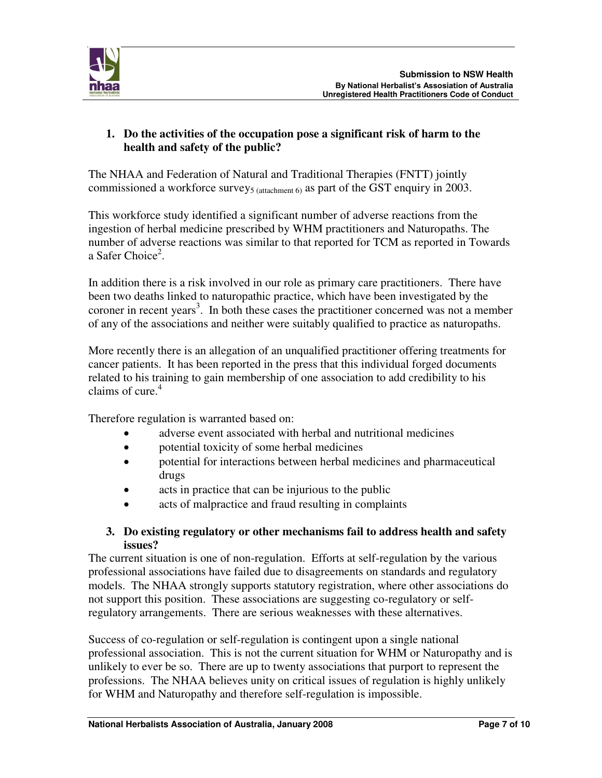

#### **1. Do the activities of the occupation pose a significant risk of harm to the health and safety of the public?**

The NHAA and Federation of Natural and Traditional Therapies (FNTT) jointly commissioned a workforce survey<sub>5 (attachment 6)</sub> as part of the GST enquiry in 2003.

This workforce study identified a significant number of adverse reactions from the ingestion of herbal medicine prescribed by WHM practitioners and Naturopaths. The number of adverse reactions was similar to that reported for TCM as reported in Towards a Safer Choice<sup>2</sup>.

In addition there is a risk involved in our role as primary care practitioners. There have been two deaths linked to naturopathic practice, which have been investigated by the coroner in recent years<sup>3</sup>. In both these cases the practitioner concerned was not a member of any of the associations and neither were suitably qualified to practice as naturopaths.

More recently there is an allegation of an unqualified practitioner offering treatments for cancer patients. It has been reported in the press that this individual forged documents related to his training to gain membership of one association to add credibility to his claims of cure. $4$ 

Therefore regulation is warranted based on:

- adverse event associated with herbal and nutritional medicines
- potential toxicity of some herbal medicines
- potential for interactions between herbal medicines and pharmaceutical drugs
- acts in practice that can be injurious to the public
- acts of malpractice and fraud resulting in complaints

#### **3. Do existing regulatory or other mechanisms fail to address health and safety issues?**

The current situation is one of non-regulation. Efforts at self-regulation by the various professional associations have failed due to disagreements on standards and regulatory models. The NHAA strongly supports statutory registration, where other associations do not support this position. These associations are suggesting co-regulatory or selfregulatory arrangements. There are serious weaknesses with these alternatives.

Success of co-regulation or self-regulation is contingent upon a single national professional association. This is not the current situation for WHM or Naturopathy and is unlikely to ever be so. There are up to twenty associations that purport to represent the professions. The NHAA believes unity on critical issues of regulation is highly unlikely for WHM and Naturopathy and therefore self-regulation is impossible.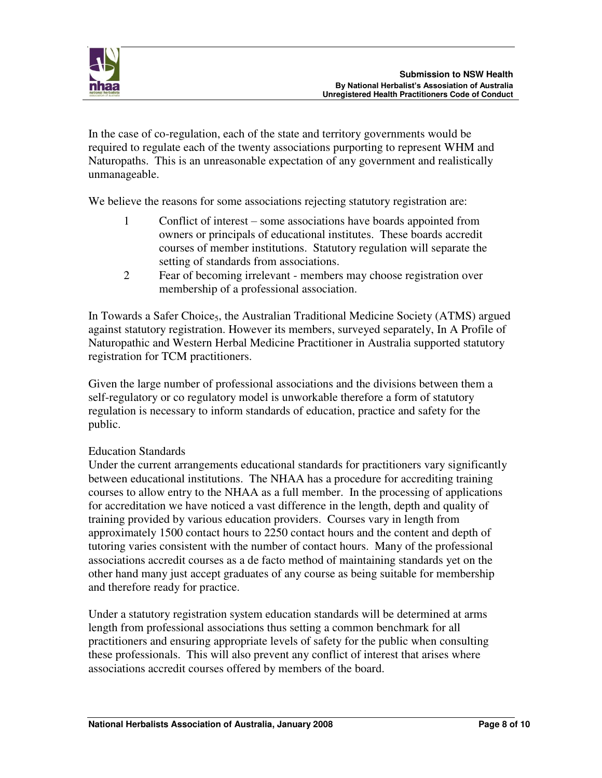

In the case of co-regulation, each of the state and territory governments would be required to regulate each of the twenty associations purporting to represent WHM and Naturopaths. This is an unreasonable expectation of any government and realistically unmanageable.

We believe the reasons for some associations rejecting statutory registration are:

- 1 Conflict of interest some associations have boards appointed from owners or principals of educational institutes. These boards accredit courses of member institutions. Statutory regulation will separate the setting of standards from associations.
- 2 Fear of becoming irrelevant members may choose registration over membership of a professional association.

In Towards a Safer Choice<sub>5</sub>, the Australian Traditional Medicine Society (ATMS) argued against statutory registration. However its members, surveyed separately, In A Profile of Naturopathic and Western Herbal Medicine Practitioner in Australia supported statutory registration for TCM practitioners.

Given the large number of professional associations and the divisions between them a self-regulatory or co regulatory model is unworkable therefore a form of statutory regulation is necessary to inform standards of education, practice and safety for the public.

#### Education Standards

Under the current arrangements educational standards for practitioners vary significantly between educational institutions. The NHAA has a procedure for accrediting training courses to allow entry to the NHAA as a full member. In the processing of applications for accreditation we have noticed a vast difference in the length, depth and quality of training provided by various education providers. Courses vary in length from approximately 1500 contact hours to 2250 contact hours and the content and depth of tutoring varies consistent with the number of contact hours. Many of the professional associations accredit courses as a de facto method of maintaining standards yet on the other hand many just accept graduates of any course as being suitable for membership and therefore ready for practice.

Under a statutory registration system education standards will be determined at arms length from professional associations thus setting a common benchmark for all practitioners and ensuring appropriate levels of safety for the public when consulting these professionals. This will also prevent any conflict of interest that arises where associations accredit courses offered by members of the board.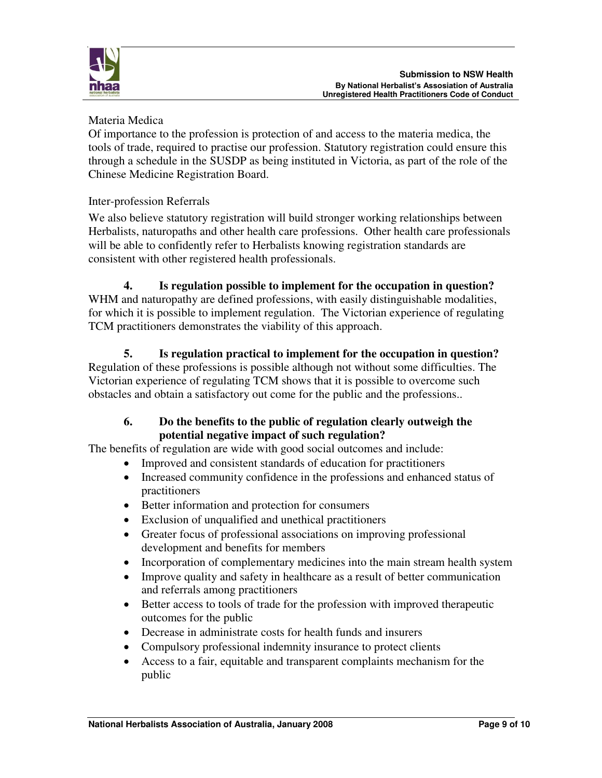

#### Materia Medica

Of importance to the profession is protection of and access to the materia medica, the tools of trade, required to practise our profession. Statutory registration could ensure this through a schedule in the SUSDP as being instituted in Victoria, as part of the role of the Chinese Medicine Registration Board.

#### Inter-profession Referrals

We also believe statutory registration will build stronger working relationships between Herbalists, naturopaths and other health care professions. Other health care professionals will be able to confidently refer to Herbalists knowing registration standards are consistent with other registered health professionals.

#### **4. Is regulation possible to implement for the occupation in question?**

WHM and naturopathy are defined professions, with easily distinguishable modalities, for which it is possible to implement regulation. The Victorian experience of regulating TCM practitioners demonstrates the viability of this approach.

#### **5. Is regulation practical to implement for the occupation in question?**  Regulation of these professions is possible although not without some difficulties. The Victorian experience of regulating TCM shows that it is possible to overcome such obstacles and obtain a satisfactory out come for the public and the professions..

#### **6. Do the benefits to the public of regulation clearly outweigh the potential negative impact of such regulation?**

The benefits of regulation are wide with good social outcomes and include:

- Improved and consistent standards of education for practitioners
- Increased community confidence in the professions and enhanced status of practitioners
- Better information and protection for consumers
- Exclusion of unqualified and unethical practitioners
- Greater focus of professional associations on improving professional development and benefits for members
- Incorporation of complementary medicines into the main stream health system
- Improve quality and safety in healthcare as a result of better communication and referrals among practitioners
- Better access to tools of trade for the profession with improved therapeutic outcomes for the public
- Decrease in administrate costs for health funds and insurers
- Compulsory professional indemnity insurance to protect clients
- Access to a fair, equitable and transparent complaints mechanism for the public